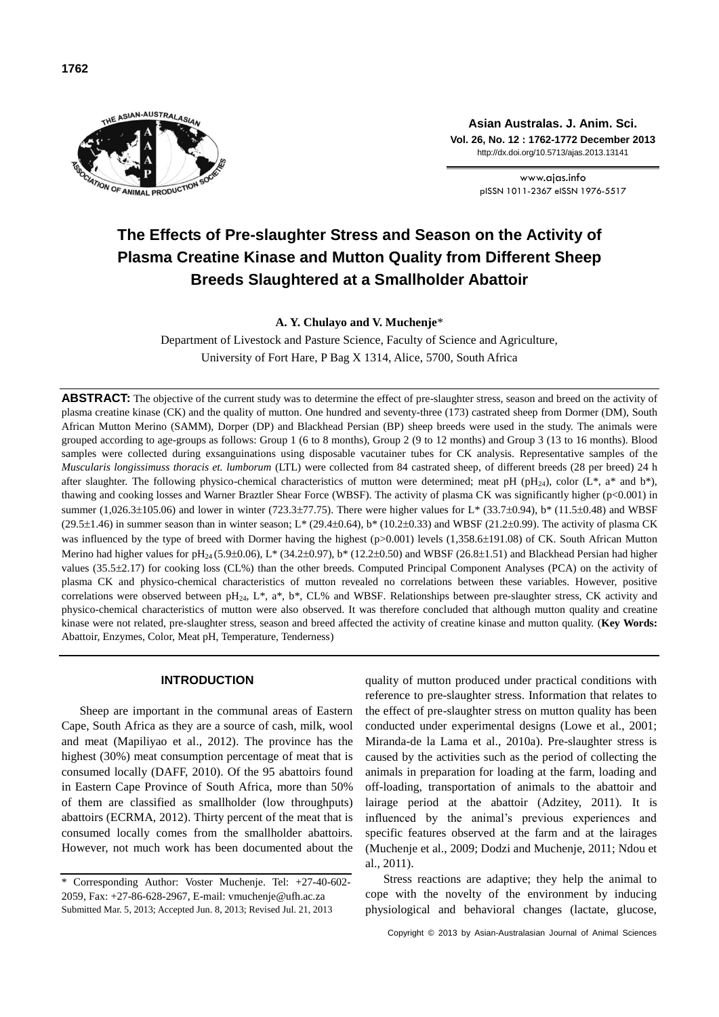

**Asian Australas. J. Anim. Sci. Vol. 26, No. 12 : 1762-1772 December 2013** http://dx.doi.org/10.5713/ajas.2013.13141

> www.ajas.info pISSN 10112367eISSN 1976517

# **The Effects of Pre-slaughter Stress and Season on the Activity of Plasma Creatine Kinase and Mutton Quality from Different Sheep Breeds Slaughtered at a Smallholder Abattoir**

**A. Y. Chulayo and V. Muchenje**\*

Department of Livestock and Pasture Science, Faculty of Science and Agriculture, University of Fort Hare, P Bag X 1314, Alice, 5700, South Africa

**ABSTRACT:** The objective of the current study was to determine the effect of pre-slaughter stress, season and breed on the activity of plasma creatine kinase (CK) and the quality of mutton. One hundred and seventy-three (173) castrated sheep from Dormer (DM), South African Mutton Merino (SAMM), Dorper (DP) and Blackhead Persian (BP) sheep breeds were used in the study. The animals were grouped according to age-groups as follows: Group 1 (6 to 8 months), Group 2 (9 to 12 months) and Group 3 (13 to 16 months). Blood samples were collected during exsanguinations using disposable vacutainer tubes for CK analysis. Representative samples of the *Muscularis longissimuss thoracis et. lumborum* (LTL) were collected from 84 castrated sheep, of different breeds (28 per breed) 24 h after slaughter. The following physico-chemical characteristics of mutton were determined; meat pH (pH<sub>24</sub>), color (L\*, a\* and b\*), thawing and cooking losses and Warner Braztler Shear Force (WBSF). The activity of plasma CK was significantly higher (p<0.001) in summer (1,026.3 $\pm$ 105.06) and lower in winter (723.3 $\pm$ 77.75). There were higher values for L\* (33.7 $\pm$ 0.94), b\* (11.5 $\pm$ 0.48) and WBSF  $(29.5\pm1.46)$  in summer season than in winter season; L\*  $(29.4\pm0.64)$ , b\*  $(10.2\pm0.33)$  and WBSF  $(21.2\pm0.99)$ . The activity of plasma CK was influenced by the type of breed with Dormer having the highest (p>0.001) levels (1,358.6 $\pm$ 191.08) of CK. South African Mutton Merino had higher values for pH<sub>24</sub> (5.9±0.06), L\* (34.2±0.97), b\* (12.2±0.50) and WBSF (26.8±1.51) and Blackhead Persian had higher values (35.5±2.17) for cooking loss (CL%) than the other breeds. Computed Principal Component Analyses (PCA) on the activity of plasma CK and physico-chemical characteristics of mutton revealed no correlations between these variables. However, positive correlations were observed between  $pH_{24}$ , L\*, a\*, b\*, CL% and WBSF. Relationships between pre-slaughter stress, CK activity and physico-chemical characteristics of mutton were also observed. It was therefore concluded that although mutton quality and creatine kinase were not related, pre-slaughter stress, season and breed affected the activity of creatine kinase and mutton quality. (**Key Words:** Abattoir, Enzymes, Color, Meat pH, Temperature, Tenderness)

## **INTRODUCTION**

Sheep are important in the communal areas of Eastern Cape, South Africa as they are a source of cash, milk, wool and meat (Mapiliyao et al., 2012). The province has the highest (30%) meat consumption percentage of meat that is consumed locally (DAFF, 2010). Of the 95 abattoirs found in Eastern Cape Province of South Africa, more than 50% of them are classified as smallholder (low throughputs) abattoirs (ECRMA, 2012). Thirty percent of the meat that is consumed locally comes from the smallholder abattoirs. However, not much work has been documented about the quality of mutton produced under practical conditions with reference to pre-slaughter stress. Information that relates to the effect of pre-slaughter stress on mutton quality has been conducted under experimental designs (Lowe et al., 2001; Miranda-de la Lama et al., 2010a). Pre-slaughter stress is caused by the activities such as the period of collecting the animals in preparation for loading at the farm, loading and off-loading, transportation of animals to the abattoir and lairage period at the abattoir (Adzitey, 2011). It is influenced by the animal's specific features observed at the farm and at the lairages (Muchenje et al., 2009; Dodzi and Muchenje, 2011; Ndou et al., 2011).

Stress reactions are adaptive; they help the animal to cope with the novelty of the environment by inducing physiological and behavioral changes (lactate, glucose,

Copyright © 2013 by Asian-Australasian Journal of Animal Sciences

<sup>\*</sup> Corresponding Author: Voster Muchenje. Tel: +27-40-602- 2059, Fax: +27-86-628-2967, E-mail: vmuchenje@ufh.ac.za Submitted Mar. 5, 2013; Accepted Jun. 8, 2013; Revised Jul. 21, 2013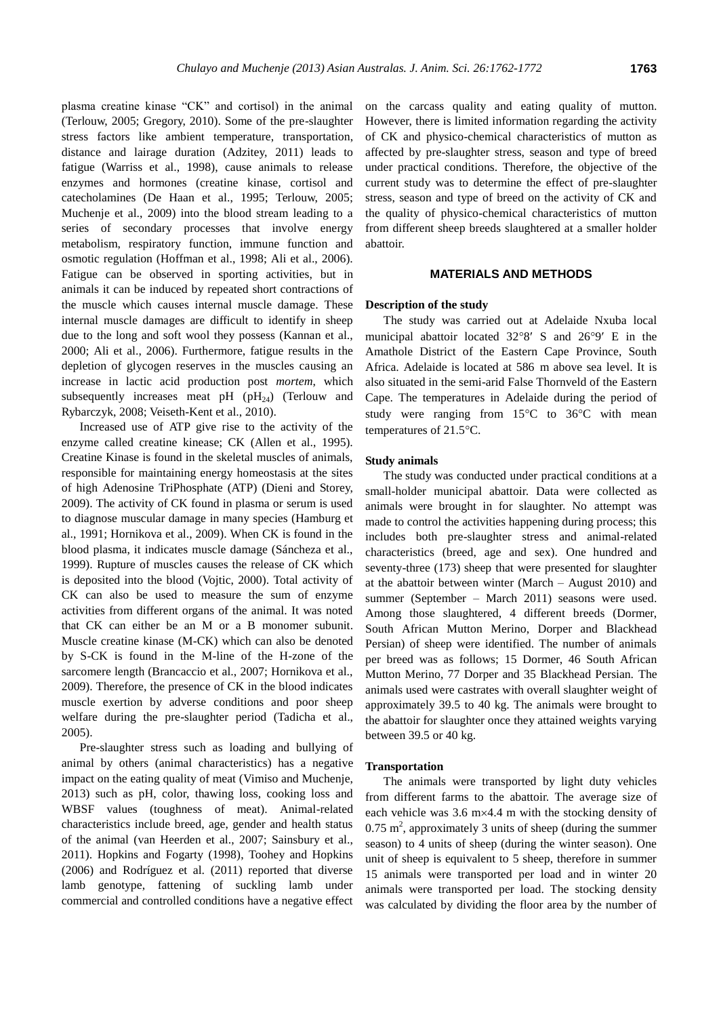plasma creatine kinase "CoKK''the aanncads qualiotyrand samong )quality nof muhtoon. anim (Terlouw, 2005; Gregory, 2010). Some of the pre-slaughter stress factors like ambient temperature, transportation, distance and lairage duration (Adzitey, 2011) leads to fatigue (Warriss et al., 1998), cause animals to release enzymes and hormones (creatine kinase, cortisol and catecholamines (De Haan et al., 1995; Terlouw, 2005; Muchenje et al., 2009) into the blood stream leading to a series of secondary processes that involve energy metabolism, respiratory function, immune function and osmotic regulation (Hoffman et al., 1998; Ali et al., 2006). Fatigue can be observed in sporting activities, but in animals it can be induced by repeated short contractions of the muscle which causes internal muscle damage. These internal muscle damages are difficult to identify in sheep due to the long and soft wool they possess (Kannan et al., 2000; Ali et al., 2006). Furthermore, fatigue results in the depletion of glycogen reserves in the muscles causing an increase in lactic acid production post *mortem*, which subsequently increases meat  $pH(pH_{24})$  (Terlouw and Rybarczyk, 2008; Veiseth-Kent et al., 2010).

Increased use of ATP give rise to the activity of the enzyme called creatine kinease; CK (Allen et al., 1995). Creatine Kinase is found in the skeletal muscles of animals, responsible for maintaining energy homeostasis at the sites of high Adenosine TriPhosphate (ATP) (Dieni and Storey, 2009). The activity of CK found in plasma or serum is used to diagnose muscular damage in many species (Hamburg et al., 1991; Hornikova et al., 2009). When CK is found in the blood plasma, it indicates muscle damage (Sáncheza et al., 1999). Rupture of muscles causes the release of CK which is deposited into the blood (Vojtic, 2000). Total activity of CK can also be used to measure the sum of enzyme activities from different organs of the animal. It was noted that CK can either be an M or a B monomer subunit. Muscle creatine kinase (M-CK) which can also be denoted by S-CK is found in the M-line of the H-zone of the sarcomere length (Brancaccio et al., 2007; Hornikova et al., 2009). Therefore, the presence of CK in the blood indicates muscle exertion by adverse conditions and poor sheep welfare during the pre-slaughter period (Tadicha et al., 2005).

Pre-slaughter stress such as loading and bullying of animal by others (animal characteristics) has a negative impact on the eating quality of meat (Vimiso and Muchenje, 2013) such as pH, color, thawing loss, cooking loss and WBSF values (toughness of meat). Animal-related characteristics include breed, age, gender and health status of the animal (van Heerden et al., 2007; Sainsbury et al., 2011). Hopkins and Fogarty (1998), Toohey and Hopkins (2006) and Rodríguez et al. (2011) reported that diverse lamb genotype, fattening of suckling lamb under commercial and controlled conditions have a negative effect However, there is limited information regarding the activity of CK and physico-chemical characteristics of mutton as affected by pre-slaughter stress, season and type of breed under practical conditions. Therefore, the objective of the current study was to determine the effect of pre-slaughter stress, season and type of breed on the activity of CK and the quality of physico-chemical characteristics of mutton from different sheep breeds slaughtered at a smaller holder abattoir.

# **MATERIALS AND METHODS**

#### **Description of the study**

The study was carried out at Adelaide Nxuba local municipal abattoir located  $32^{\circ}8'$  S and  $26^{\circ}9'$  E in the Amathole District of the Eastern Cape Province, South Africa. Adelaide is located at 586 m above sea level. It is also situated in the semi-arid False Thornveld of the Eastern Cape. The temperatures in Adelaide during the period of study were ranging from  $15^{\circ}$ C to  $36^{\circ}$ C with mean temperatures of  $21.5^{\circ}$ C.

#### **Study animals**

The study was conducted under practical conditions at a small-holder municipal abattoir. Data were collected as animals were brought in for slaughter. No attempt was made to control the activities happening during process; this includes both pre-slaughter stress and animal-related characteristics (breed, age and sex). One hundred and seventy-three (173) sheep that were presented for slaughter at the abattoir between winter (March  $-$  August 2010) and summer (September - March 2011) seasons were used. Among those slaughtered, 4 different breeds (Dormer, South African Mutton Merino, Dorper and Blackhead Persian) of sheep were identified. The number of animals per breed was as follows; 15 Dormer, 46 South African Mutton Merino, 77 Dorper and 35 Blackhead Persian. The animals used were castrates with overall slaughter weight of approximately 39.5 to 40 kg. The animals were brought to the abattoir for slaughter once they attained weights varying between 39.5 or 40 kg.

#### **Transportation**

The animals were transported by light duty vehicles from different farms to the abattoir. The average size of each vehicle was  $3.6 \text{ m} \times 4.4 \text{ m}$  with the stocking density of  $0.75$  m<sup>2</sup>, approximately 3 units of sheep (during the summer season) to 4 units of sheep (during the winter season). One unit of sheep is equivalent to 5 sheep, therefore in summer 15 animals were transported per load and in winter 20 animals were transported per load. The stocking density was calculated by dividing the floor area by the number of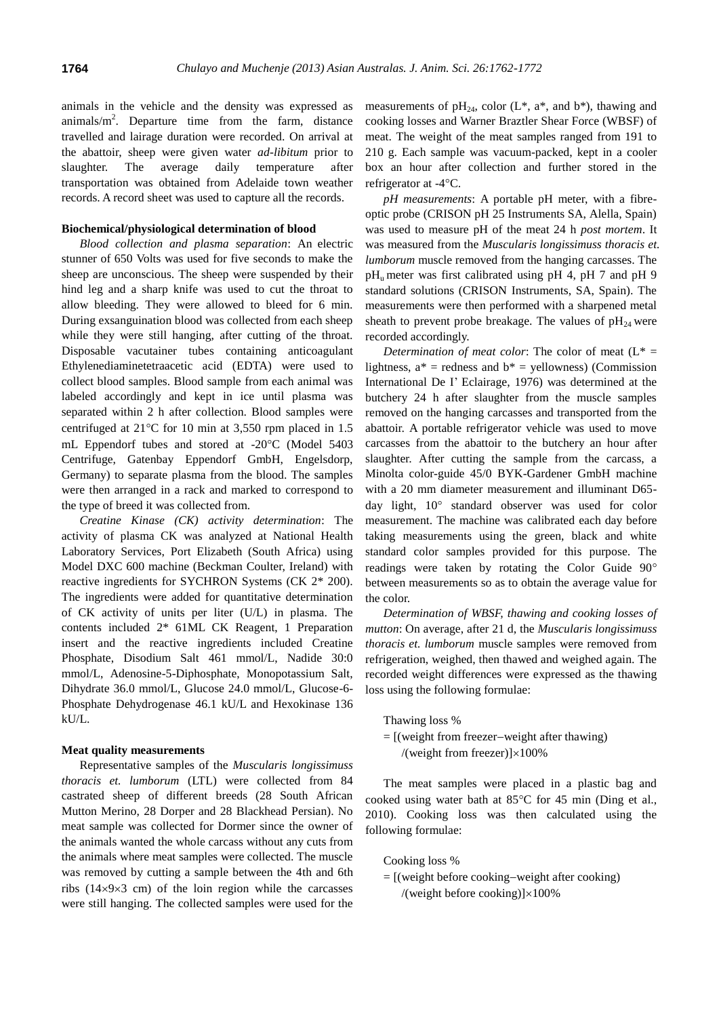animals in the vehicle and the density was expressed as animals/ $m<sup>2</sup>$ . Departure time from the farm, distance travelled and lairage duration were recorded. On arrival at the abattoir, sheep were given water *ad-libitum* prior to slaughter. The average daily temperature after transportation was obtained from Adelaide town weather records. A record sheet was used to capture all the records.

#### **Biochemical/physiological determination of blood**

*Blood collection and plasma separation*: An electric stunner of 650 Volts was used for five seconds to make the sheep are unconscious. The sheep were suspended by their hind leg and a sharp knife was used to cut the throat to allow bleeding. They were allowed to bleed for 6 min. During exsanguination blood was collected from each sheep while they were still hanging, after cutting of the throat. Disposable vacutainer tubes containing anticoagulant Ethylenediaminetetraacetic acid (EDTA) were used to collect blood samples. Blood sample from each animal was labeled accordingly and kept in ice until plasma was separated within 2 h after collection. Blood samples were centrifuged at  $21^{\circ}$ C for 10 min at 3,550 rpm placed in 1.5 mL Eppendorf tubes and stored at  $-20^{\circ}$ C (Model 5403 Centrifuge, Gatenbay Eppendorf GmbH, Engelsdorp, Germany) to separate plasma from the blood. The samples were then arranged in a rack and marked to correspond to the type of breed it was collected from.

*Creatine Kinase (CK) activity determination*: The activity of plasma CK was analyzed at National Health Laboratory Services, Port Elizabeth (South Africa) using Model DXC 600 machine (Beckman Coulter, Ireland) with reactive ingredients for SYCHRON Systems (CK 2\* 200). The ingredients were added for quantitative determination of CK activity of units per liter (U/L) in plasma. The contents included 2\* 61ML CK Reagent, 1 Preparation insert and the reactive ingredients included Creatine Phosphate, Disodium Salt 461 mmol/L, Nadide 30:0 mmol/L, Adenosine-5-Diphosphate, Monopotassium Salt, Dihydrate 36.0 mmol/L, Glucose 24.0 mmol/L, Glucose-6- Phosphate Dehydrogenase 46.1 kU/L and Hexokinase 136 kU/L.

#### **Meat quality measurements**

Representative samples of the *Muscularis longissimuss thoracis et. lumborum* (LTL) were collected from 84 castrated sheep of different breeds (28 South African Mutton Merino, 28 Dorper and 28 Blackhead Persian). No meat sample was collected for Dormer since the owner of the animals wanted the whole carcass without any cuts from the animals where meat samples were collected. The muscle was removed by cutting a sample between the 4th and 6th ribs  $(14\times9\times3$  cm) of the loin region while the carcasses were still hanging. The collected samples were used for the

measurements of pH<sub>24</sub>, color  $(L^*, a^*,$  and b\*), thawing and cooking losses and Warner Braztler Shear Force (WBSF) of meat. The weight of the meat samples ranged from 191 to 210 g. Each sample was vacuum-packed, kept in a cooler box an hour after collection and further stored in the refrigerator at -4°C.

*pH measurements*: A portable pH meter, with a fibreoptic probe (CRISON pH 25 Instruments SA, Alella, Spain) was used to measure pH of the meat 24 h *post mortem*. It was measured from the *Muscularis longissimuss thoracis et. lumborum* muscle removed from the hanging carcasses. The  $pH<sub>u</sub>$  meter was first calibrated using pH 4, pH 7 and pH 9 standard solutions (CRISON Instruments, SA, Spain). The measurements were then performed with a sharpened metal sheath to prevent probe breakage. The values of  $pH_{24}$  were recorded accordingly.

*Determination of meat color:* The color of meat  $(L^* =$ lightness,  $a^*$  = redness and  $b^*$  = yellowness) (Commission International De I' Eclairage, 1976) was determined at the butchery 24 h after slaughter from the muscle samples removed on the hanging carcasses and transported from the abattoir. A portable refrigerator vehicle was used to move carcasses from the abattoir to the butchery an hour after slaughter. After cutting the sample from the carcass, a Minolta color-guide 45/0 BYK-Gardener GmbH machine with a 20 mm diameter measurement and illuminant D65 day light,  $10^{\circ}$  standard observer was used for color measurement. The machine was calibrated each day before taking measurements using the green, black and white standard color samples provided for this purpose. The readings were taken by rotating the Color Guide  $90^\circ$ between measurements so as to obtain the average value for the color.

*Determination of WBSF, thawing and cooking losses of mutton*: On average, after 21 d, the *Muscularis longissimuss thoracis et. lumborum* muscle samples were removed from refrigeration, weighed, then thawed and weighed again. The recorded weight differences were expressed as the thawing loss using the following formulae:

Thawing loss %

 $=$  [(weight from freezer-weight after thawing) /(weight from freezer) $]\times100\%$ 

The meat samples were placed in a plastic bag and cooked using water bath at  $85^{\circ}$ C for 45 min (Ding et al., 2010). Cooking loss was then calculated using the following formulae:

Cooking loss %

 $=$  [(weight before cooking-weight after cooking)

/(weight before cooking) $\vert \times 100\%$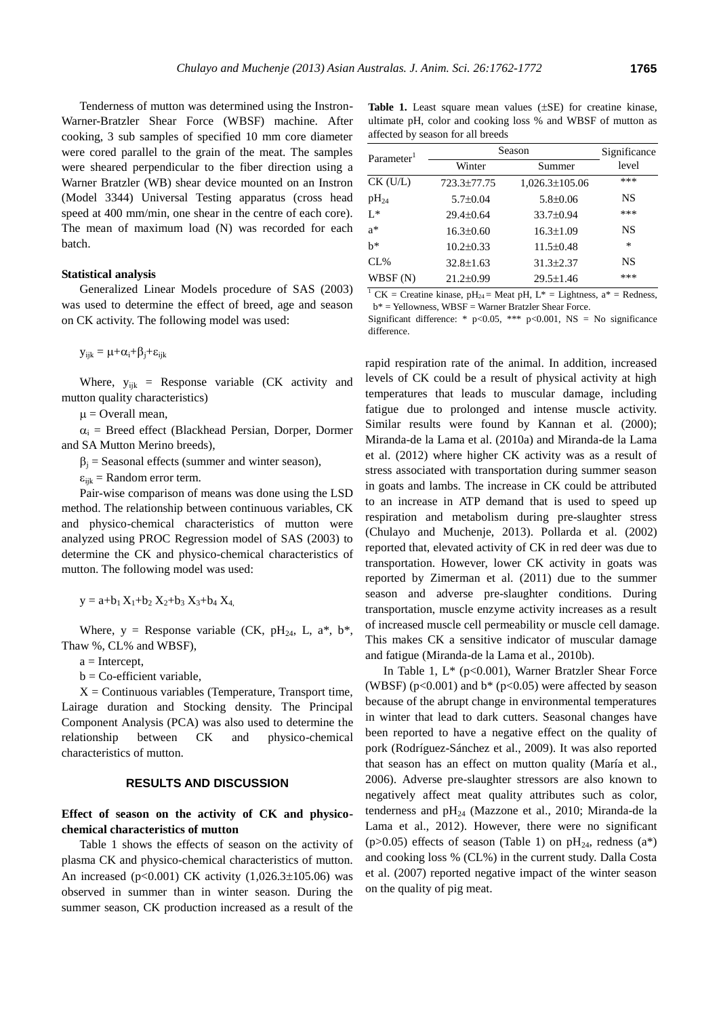Tenderness of mutton was determined using the Instron-Warner-Bratzler Shear Force (WBSF) machine. After cooking, 3 sub samples of specified 10 mm core diameter were cored parallel to the grain of the meat. The samples were sheared perpendicular to the fiber direction using a Warner Bratzler (WB) shear device mounted on an Instron (Model 3344) Universal Testing apparatus (cross head speed at 400 mm/min, one shear in the centre of each core). The mean of maximum load (N) was recorded for each batch.

## **Statistical analysis**

Generalized Linear Models procedure of SAS (2003) was used to determine the effect of breed, age and season on CK activity. The following model was used:

 $y_{i,j} = \mu + \alpha_i + \beta_i + \varepsilon_{i,j,k}$ 

Where,  $y_i \neq E$  Response variable (CK activity and mutton quality characteristics)

 $\mu$  = Overall mean,

 $\alpha_i$  = Breed effect (Blackhead Persian, Dorper, Dormer and SA Mutton Merino breeds),

 $\beta_i$  = Seasonal effects (summer and winter season),

 $\varepsilon_{i}$   $\frac{1}{k}$  Random error term.

Pair-wise comparison of means was done using the LSD method. The relationship between continuous variables, CK and physico-chemical characteristics of mutton were analyzed using PROC Regression model of SAS (2003) to determine the CK and physico-chemical characteristics of mutton. The following model was used:

 $y = a+b_1 X_1+b_2 X_2+b_3 X_3+b_4 X_4$ 

Where,  $y =$  Response variable (CK, pH<sub>24</sub>, L, a\*, b\*, Thaw %, CL% and WBSF),

 $a =$ Intercept,

 $b = Co$ -efficient variable,

 $X =$  Continuous variables (Temperature, Transport time, Lairage duration and Stocking density. The Principal Component Analysis (PCA) was also used to determine the relationship between CK and physico-chemical characteristics of mutton.

# **RESULTS AND DISCUSSION**

# **Effect of season on the activity of CK and physicochemical characteristics of mutton**

Table 1 shows the effects of season on the activity of plasma CK and physico-chemical characteristics of mutton. An increased (p<0.001) CK activity  $(1,026.3 \pm 105.06)$  was observed in summer than in winter season. During the summer season, CK production increased as a result of the

Table 1. Least square mean values ( $\pm$ SE) for creatine kinase, ultimate pH, color and cooking loss % and WBSF of mutton as affected by season for all breeds

| Parameter <sup>1</sup> | Season          | Significance         |       |
|------------------------|-----------------|----------------------|-------|
|                        | Winter          | Summer               | level |
| CK (U/L)               | 723.3±77.75     | $1,026.3 \pm 105.06$ | ***   |
| $\rm{pH}_{24}$         | $5.7 \pm 0.04$  | $5.8 \pm 0.06$       | NS    |
| $L^*$                  | $29.4 \pm 0.64$ | 33.7±0.94            | ***   |
| $a^*$                  | $16.3 \pm 0.60$ | $16.3 \pm 1.09$      | NS    |
| h*                     | $10.2 \pm 0.33$ | $11.5 \pm 0.48$      | *     |
| CL%                    | $32.8 \pm 1.63$ | $31.3 \pm 2.37$      | NS    |
| WBSF (N)               | $21.2 \pm 0.99$ | $29.5 \pm 1.46$      | ***   |
|                        |                 |                      |       |

<sup>1</sup> CK = Creatine kinase, pH<sub>24</sub> = Meat pH, L<sup>\*</sup> = Lightness, a<sup>\*</sup> = Redness,  $b^*$  = Yellowness, WBSF = Warner Bratzler Shear Force.

Significant difference: \*  $p<0.05$ , \*\*\*  $p<0.001$ , NS = No significance difference.

rapid respiration rate of the animal. In addition, increased levels of CK could be a result of physical activity at high temperatures that leads to muscular damage, including fatigue due to prolonged and intense muscle activity. Similar results were found by Kannan et al. (2000); Miranda-de la Lama et al. (2010a) and Miranda-de la Lama et al. (2012) where higher CK activity was as a result of stress associated with transportation during summer season in goats and lambs. The increase in CK could be attributed to an increase in ATP demand that is used to speed up respiration and metabolism during pre-slaughter stress (Chulayo and Muchenje, 2013). Pollarda et al. (2002) reported that, elevated activity of CK in red deer was due to transportation. However, lower CK activity in goats was reported by Zimerman et al. (2011) due to the summer season and adverse pre-slaughter conditions. During transportation, muscle enzyme activity increases as a result of increased muscle cell permeability or muscle cell damage. This makes CK a sensitive indicator of muscular damage and fatigue (Miranda-de la Lama et al., 2010b).

In Table 1,  $L^*$  (p<0.001), Warner Bratzler Shear Force (WBSF) ( $p<0.001$ ) and  $b^*$  ( $p<0.05$ ) were affected by season because of the abrupt change in environmental temperatures in winter that lead to dark cutters. Seasonal changes have been reported to have a negative effect on the quality of pork (Rodríguez-Sánchez et al., 2009). It was also reported that season has an effect on mutton quality (María et al., 2006). Adverse pre-slaughter stressors are also known to negatively affect meat quality attributes such as color, tenderness and pH<sub>24</sub> (Mazzone et al., 2010; Miranda-de la Lama et al., 2012). However, there were no significant (p>0.05) effects of season (Table 1) on  $pH_{24}$ , redness (a\*) and cooking loss % (CL%) in the current study. Dalla Costa et al. (2007) reported negative impact of the winter season on the quality of pig meat.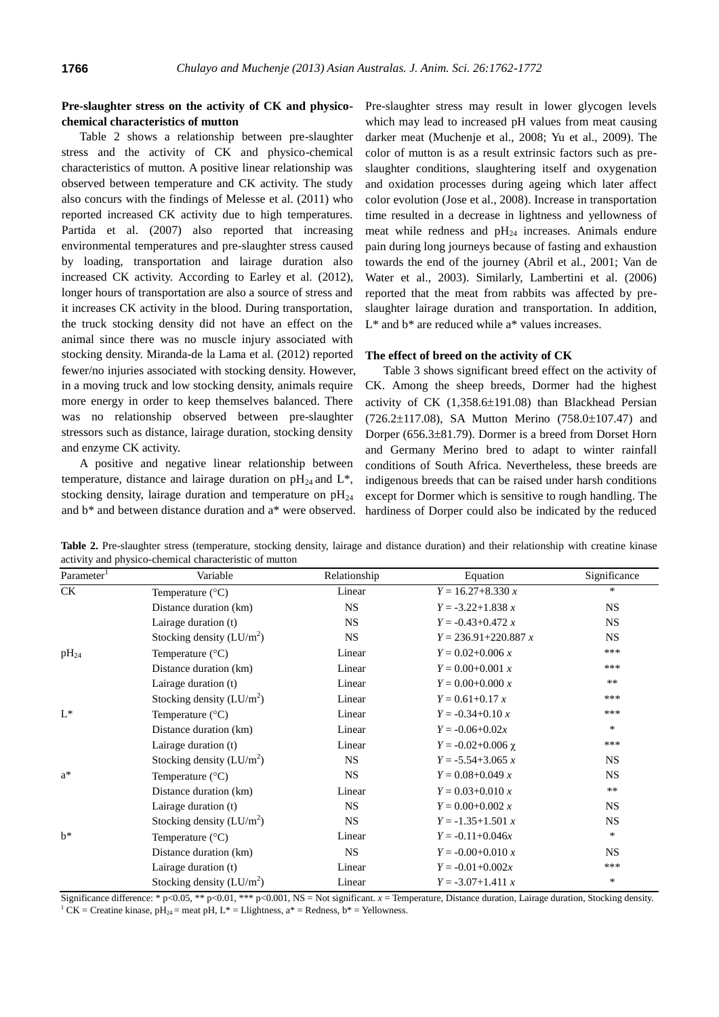# **Pre-slaughter stress on the activity of CK and physicochemical characteristics of mutton**

Table 2 shows a relationship between pre-slaughter stress and the activity of CK and physico-chemical characteristics of mutton. A positive linear relationship was observed between temperature and CK activity. The study also concurs with the findings of Melesse et al. (2011) who reported increased CK activity due to high temperatures. Partida et al. (2007) also reported that increasing environmental temperatures and pre-slaughter stress caused by loading, transportation and lairage duration also increased CK activity. According to Earley et al. (2012), longer hours of transportation are also a source of stress and it increases CK activity in the blood. During transportation, the truck stocking density did not have an effect on the animal since there was no muscle injury associated with stocking density. Miranda-de la Lama et al. (2012) reported fewer/no injuries associated with stocking density. However, in a moving truck and low stocking density, animals require more energy in order to keep themselves balanced. There was no relationship observed between pre-slaughter stressors such as distance, lairage duration, stocking density and enzyme CK activity.

A positive and negative linear relationship between temperature, distance and lairage duration on  $\rm{pH}_{24}$  and  $\rm{L}^*$ , stocking density, lairage duration and temperature on  $pH_{24}$ and b\* and between distance duration and a\* were observed.

Pre-slaughter stress may result in lower glycogen levels which may lead to increased pH values from meat causing darker meat (Muchenje et al., 2008; Yu et al., 2009). The color of mutton is as a result extrinsic factors such as preslaughter conditions, slaughtering itself and oxygenation and oxidation processes during ageing which later affect color evolution (Jose et al., 2008). Increase in transportation time resulted in a decrease in lightness and yellowness of meat while redness and  $pH_{24}$  increases. Animals endure pain during long journeys because of fasting and exhaustion towards the end of the journey (Abril et al., 2001; Van de Water et al., 2003). Similarly, Lambertini et al. (2006) reported that the meat from rabbits was affected by preslaughter lairage duration and transportation. In addition, L<sup>\*</sup> and b<sup>\*</sup> are reduced while a<sup>\*</sup> values increases.

#### **The effect of breed on the activity of CK**

Table 3 shows significant breed effect on the activity of CK. Among the sheep breeds, Dormer had the highest activity of CK  $(1,358.6\pm191.08)$  than Blackhead Persian  $(726.2 \pm 117.08)$ , SA Mutton Merino  $(758.0 \pm 107.47)$  and Dorper  $(656.3\pm81.79)$ . Dormer is a breed from Dorset Horn and Germany Merino bred to adapt to winter rainfall conditions of South Africa. Nevertheless, these breeds are indigenous breeds that can be raised under harsh conditions except for Dormer which is sensitive to rough handling. The hardiness of Dorper could also be indicated by the reduced

| Parameter <sup>1</sup> | Variable                    | Relationship | Equation                 | Significance |
|------------------------|-----------------------------|--------------|--------------------------|--------------|
| CK                     | Temperature $(^{\circ}C)$   | Linear       | $Y = 16.27 + 8.330 x$    | $\ast$       |
|                        | Distance duration (km)      | <b>NS</b>    | $Y = -3.22 + 1.838 x$    | <b>NS</b>    |
|                        | Lairage duration (t)        | <b>NS</b>    | $Y = -0.43 + 0.472 x$    | NS.          |
|                        | Stocking density $(LU/m^2)$ | <b>NS</b>    | $Y = 236.91 + 220.887 x$ | <b>NS</b>    |
| $pH_{24}$              | Temperature $(^{\circ}C)$   | Linear       | $Y = 0.02 + 0.006 x$     | ***          |
|                        | Distance duration (km)      | Linear       | $Y = 0.00 + 0.001 x$     | ***          |
|                        | Lairage duration (t)        | Linear       | $Y = 0.00 + 0.000 x$     | $***$        |
|                        | Stocking density $(LU/m^2)$ | Linear       | $Y = 0.61 + 0.17 x$      | ***          |
| $L^*$                  | Temperature $(^{\circ}C)$   | Linear       | $Y = -0.34 + 0.10 x$     | ***          |
|                        | Distance duration (km)      | Linear       | $Y = -0.06 + 0.02x$      | $\ast$       |
|                        | Lairage duration (t)        | Linear       | $Y = -0.02 + 0.006$ χ    | ***          |
|                        | Stocking density $(LU/m^2)$ | <b>NS</b>    | $Y = -5.54 + 3.065 x$    | <b>NS</b>    |
| $a^*$                  | Temperature $(^{\circ}C)$   | <b>NS</b>    | $Y = 0.08 + 0.049 x$     | <b>NS</b>    |
|                        | Distance duration (km)      | Linear       | $Y = 0.03 + 0.010 x$     | $***$        |
|                        | Lairage duration (t)        | <b>NS</b>    | $Y = 0.00 + 0.002 x$     | <b>NS</b>    |
|                        | Stocking density $(LU/m^2)$ | <b>NS</b>    | $Y = -1.35 + 1.501 x$    | <b>NS</b>    |
| $h^*$                  | Temperature $(^{\circ}C)$   | Linear       | $Y = -0.11 + 0.046x$     | $\ast$       |
|                        | Distance duration (km)      | <b>NS</b>    | $Y = -0.00 + 0.010 x$    | NS.          |
|                        | Lairage duration (t)        | Linear       | $Y = -0.01 + 0.002x$     | ***          |
|                        | Stocking density $(LU/m2)$  | Linear       | $Y = -3.07 + 1.411 x$    | *            |

**Table 2.** Pre-slaughter stress (temperature, stocking density, lairage and distance duration) and their relationship with creatine kinase activity and physico-chemical characteristic of mutton

Significance difference: \* p<0.05, \*\* p<0.01, \*\*\* p<0.001, NS = Not significant. *x* = Temperature, Distance duration, Lairage duration, Stocking density. <sup>1</sup> CK = Creatine kinase, pH<sub>24</sub> = meat pH, L<sup>\*</sup> = Llightness, a<sup>\*</sup> = Redness, b<sup>\*</sup> = Yellowness.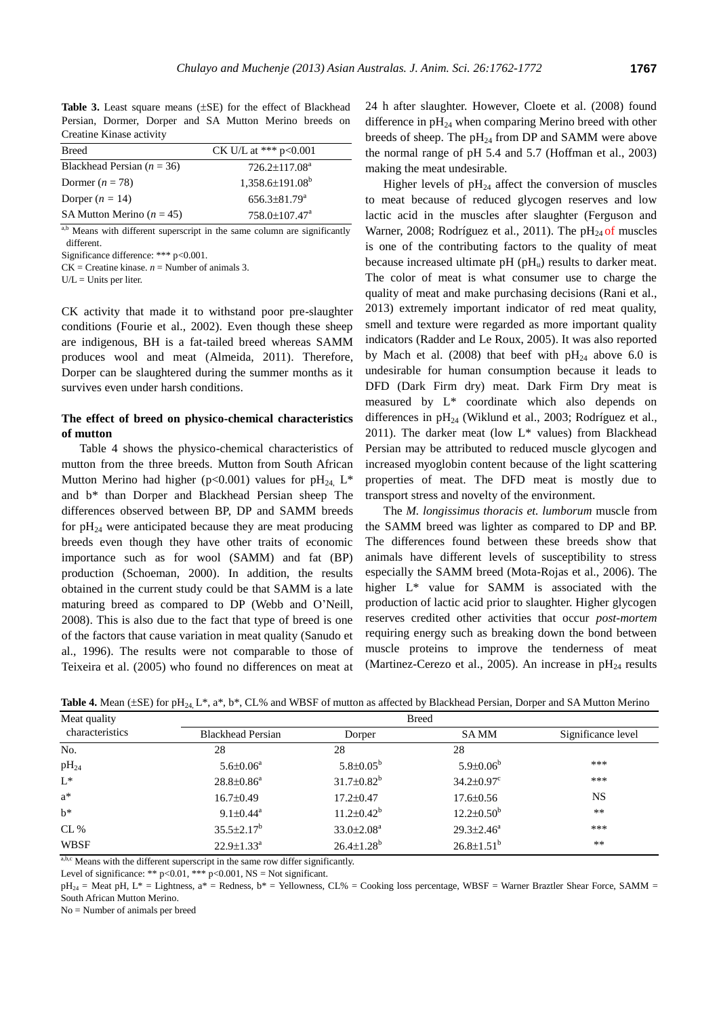Table 3. Least square means ( $\pm$ SE) for the effect of Blackhead Persian, Dormer, Dorper and SA Mutton Merino breeds on Creatine Kinase activity Breed CK U/L at \*\*\* p<0.001

| <b>Breed</b>                  | $CK$ U/L at *** p<0.001       |
|-------------------------------|-------------------------------|
| Blackhead Persian $(n = 36)$  | $726.2 \pm 117.08^a$          |
| Dormer $(n = 78)$             | $1,358.6\pm191.08^b$          |
| Dorper $(n = 14)$             | $656.3\pm81.79^{\circ}$       |
| SA Mutton Merino ( $n = 45$ ) | $758.0 \pm 107.47^{\text{a}}$ |

a,b Means with different superscript in the same column are significantly different.

Significance difference: \*\*\* p<0.001.

 $CK =$  Creatine kinase.  $n =$  Number of animals 3.

 $U/L =$  Units per liter.

CK activity that made it to withstand poor pre-slaughter conditions (Fourie et al., 2002). Even though these sheep are indigenous, BH is a fat-tailed breed whereas SAMM produces wool and meat (Almeida, 2011). Therefore, Dorper can be slaughtered during the summer months as it survives even under harsh conditions.

# **The effect of breed on physico-chemical characteristics of mutton**

Table 4 shows the physico-chemical characteristics of mutton from the three breeds. Mutton from South African Mutton Merino had higher (p<0.001) values for  $pH_{24}$ , L<sup>\*</sup> and b\* than Dorper and Blackhead Persian sheep The differences observed between BP, DP and SAMM breeds for  $pH_{24}$  were anticipated because they are meat producing breeds even though they have other traits of economic importance such as for wool (SAMM) and fat (BP) production (Schoeman, 2000). In addition, the results obtained in the current study could be that SAMM is a late maturing breed as compared to DP (Webb and O'Neill, 2008). This is also due to the fact that type of breed is one of the factors that cause variation in meat quality (Sanudo et al., 1996). The results were not comparable to those of Teixeira et al. (2005) who found no differences on meat at

24 h after slaughter. However, Cloete et al. (2008) found difference in  $pH_{24}$  when comparing Merino breed with other breeds of sheep. The  $pH_{24}$  from DP and SAMM were above the normal range of pH 5.4 and 5.7 (Hoffman et al., 2003) making the meat undesirable.

Higher levels of  $pH_{24}$  affect the conversion of muscles to meat because of reduced glycogen reserves and low lactic acid in the muscles after slaughter (Ferguson and Warner, 2008; Rodríguez et al., 2011). The  $pH_{24}$  of muscles is one of the contributing factors to the quality of meat because increased ultimate  $pH (pH<sub>u</sub>)$  results to darker meat. The color of meat is what consumer use to charge the quality of meat and make purchasing decisions (Rani et al., 2013) extremely important indicator of red meat quality, smell and texture were regarded as more important quality indicators (Radder and Le Roux, 2005). It was also reported by Mach et al. (2008) that beef with  $pH_{24}$  above 6.0 is undesirable for human consumption because it leads to DFD (Dark Firm dry) meat. Dark Firm Dry meat is measured by L\* coordinate which also depends on differences in  $pH_{24}$  (Wiklund et al., 2003; Rodríguez et al., 2011). The darker meat (low  $L^*$  values) from Blackhead Persian may be attributed to reduced muscle glycogen and increased myoglobin content because of the light scattering properties of meat. The DFD meat is mostly due to transport stress and novelty of the environment.

The *M. longissimus thoracis et. lumborum* muscle from the SAMM breed was lighter as compared to DP and BP. The differences found between these breeds show that animals have different levels of susceptibility to stress especially the SAMM breed (Mota-Rojas et al., 2006). The higher L\* value for SAMM is associated with the production of lactic acid prior to slaughter. Higher glycogen reserves credited other activities that occur *post-mortem* requiring energy such as breaking down the bond between muscle proteins to improve the tenderness of meat (Martinez-Cerezo et al., 2005). An increase in  $pH_{24}$  results

|  |  |  |  |  |  |  |  |  |  |  |  |  |  | Table 4. Mean ( $\pm$ SE) for pH <sub>24</sub> L*, a*, b*, CL% and WBSF of mutton as affected by Blackhead Persian, Dorper and SA Mutton Merino |  |
|--|--|--|--|--|--|--|--|--|--|--|--|--|--|-------------------------------------------------------------------------------------------------------------------------------------------------|--|
|--|--|--|--|--|--|--|--|--|--|--|--|--|--|-------------------------------------------------------------------------------------------------------------------------------------------------|--|

| Meat quality    |                             | <b>Breed</b>           |                              |                    |  |  |  |  |
|-----------------|-----------------------------|------------------------|------------------------------|--------------------|--|--|--|--|
| characteristics | <b>Blackhead Persian</b>    | Dorper                 | <b>SAMM</b>                  | Significance level |  |  |  |  |
| No.             | 28                          | 28                     | 28                           |                    |  |  |  |  |
| $pH_{24}$       | $5.6 \pm 0.06^a$            | $5.8 \pm 0.05^{\rm b}$ | $5.9 \pm 0.06^b$             | ***                |  |  |  |  |
| $L^*$           | $28.8 \pm 0.86^a$           | $31.7 \pm 0.82^b$      | $34.2 \pm 0.97$ <sup>c</sup> | ***                |  |  |  |  |
| $a^*$           | $16.7 \pm 0.49$             | $17.2 \pm 0.47$        | $17.6 \pm 0.56$              | <b>NS</b>          |  |  |  |  |
| $h^*$           | $9.1 \pm 0.44$ <sup>a</sup> | $11.2 \pm 0.42^b$      | $12.2 \pm 0.50^b$            | $**$               |  |  |  |  |
| CL %            | $35.5 \pm 2.17^b$           | $33.0 \pm 2.08^a$      | $29.3 \pm 2.46^a$            | ***                |  |  |  |  |
| <b>WBSF</b>     | $22.9 \pm 1.33^{\text{a}}$  | $26.4 \pm 1.28^b$      | $26.8 \pm 1.51^b$            | $***$              |  |  |  |  |

a,b,c Means with the different superscript in the same row differ significantly.

Level of significance: \*\*  $p<0.01$ , \*\*\*  $p<0.001$ , NS = Not significant.

 $pH_{24}$  = Meat pH, L\* = Lightness, a\* = Redness, b\* = Yellowness, CL% = Cooking loss percentage, WBSF = Warner Braztler Shear Force, SAMM = South African Mutton Merino.

No = Number of animals per breed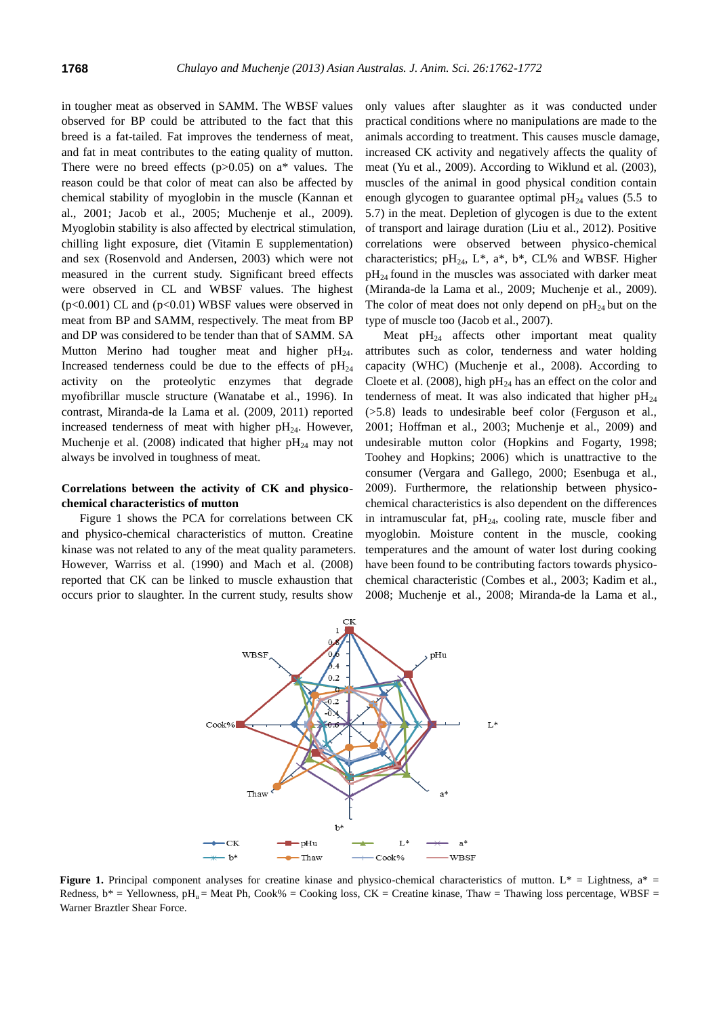in tougher meat as observed in SAMM. The WBSF values observed for BP could be attributed to the fact that this breed is a fat-tailed. Fat improves the tenderness of meat, and fat in meat contributes to the eating quality of mutton. There were no breed effects ( $p > 0.05$ ) on a\* values. The reason could be that color of meat can also be affected by chemical stability of myoglobin in the muscle (Kannan et al., 2001; Jacob et al., 2005; Muchenje et al., 2009). Myoglobin stability is also affected by electrical stimulation, chilling light exposure, diet (Vitamin E supplementation) and sex (Rosenvold and Andersen, 2003) which were not measured in the current study. Significant breed effects were observed in CL and WBSF values. The highest  $(p<0.001)$  CL and  $(p<0.01)$  WBSF values were observed in meat from BP and SAMM, respectively. The meat from BP and DP was considered to be tender than that of SAMM. SA Mutton Merino had tougher meat and higher  $pH_{24}$ . Increased tenderness could be due to the effects of  $pH_{24}$ activity on the proteolytic enzymes that degrade myofibrillar muscle structure (Wanatabe et al., 1996). In contrast, Miranda-de la Lama et al. (2009, 2011) reported increased tenderness of meat with higher  $pH_{24}$ . However, Muchenje et al. (2008) indicated that higher  $pH_{24}$  may not always be involved in toughness of meat.

# **Correlations between the activity of CK and physicochemical characteristics of mutton**

Figure 1 shows the PCA for correlations between CK and physico-chemical characteristics of mutton. Creatine kinase was not related to any of the meat quality parameters. However, Warriss et al. (1990) and Mach et al. (2008) reported that CK can be linked to muscle exhaustion that occurs prior to slaughter. In the current study, results show

only values after slaughter as it was conducted under practical conditions where no manipulations are made to the animals according to treatment. This causes muscle damage, increased CK activity and negatively affects the quality of meat (Yu et al., 2009). According to Wiklund et al. (2003), muscles of the animal in good physical condition contain enough glycogen to guarantee optimal  $pH_{24}$  values (5.5 to 5.7) in the meat. Depletion of glycogen is due to the extent of transport and lairage duration (Liu et al., 2012). Positive correlations were observed between physico-chemical characteristics;  $pH_{24}$ ,  $L^*$ ,  $a^*$ ,  $b^*$ ,  $CL\%$  and WBSF. Higher  $pH_{24}$  found in the muscles was associated with darker meat (Miranda-de la Lama et al., 2009; Muchenje et al., 2009). The color of meat does not only depend on  $pH_{24}$  but on the type of muscle too (Jacob et al., 2007).

Meat  $pH_{24}$  affects other important meat quality attributes such as color, tenderness and water holding capacity (WHC) (Muchenje et al., 2008). According to Cloete et al. (2008), high  $pH_{24}$  has an effect on the color and tenderness of meat. It was also indicated that higher  $pH_{24}$ (>5.8) leads to undesirable beef color (Ferguson et al., 2001; Hoffman et al., 2003; Muchenje et al., 2009) and undesirable mutton color (Hopkins and Fogarty, 1998; Toohey and Hopkins; 2006) which is unattractive to the consumer (Vergara and Gallego, 2000; Esenbuga et al., 2009). Furthermore, the relationship between physicochemical characteristics is also dependent on the differences in intramuscular fat,  $pH_{24}$ , cooling rate, muscle fiber and myoglobin. Moisture content in the muscle, cooking temperatures and the amount of water lost during cooking have been found to be contributing factors towards physicochemical characteristic (Combes et al., 2003; Kadim et al., 2008; Muchenje et al., 2008; Miranda-de la Lama et al.,



**Figure 1.** Principal component analyses for creatine kinase and physico-chemical characteristics of mutton.  $L^* =$  Lightness,  $a^* =$ Redness,  $b^*$  = Yellowness,  $pH_u$  = Meat Ph, Cook% = Cooking loss, CK = Creatine kinase, Thaw = Thawing loss percentage, WBSF = Warner Braztler Shear Force.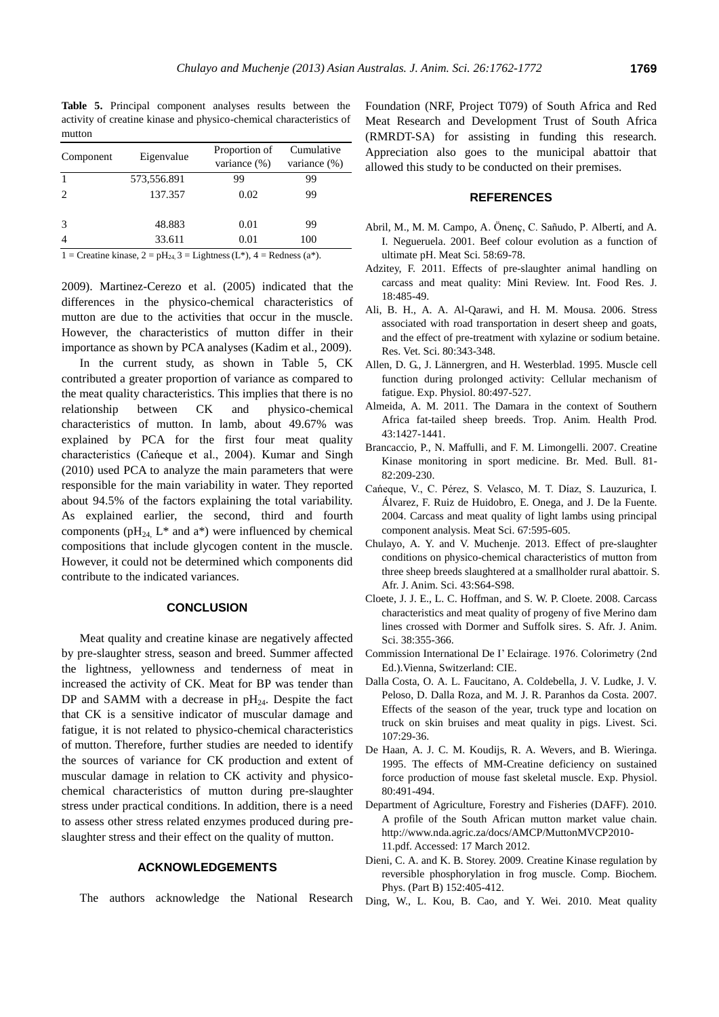**Table 5.** Principal component analyses results between the activity of creatine kinase and physico-chemical characteristics of mutton

| Component      | Eigenvalue  | Proportion of<br>variance $(\%)$ | Cumulative<br>variance (%) |  |  |
|----------------|-------------|----------------------------------|----------------------------|--|--|
|                | 573,556.891 | 99                               | 99                         |  |  |
| $\mathcal{L}$  | 137.357     | 0.02                             | 99                         |  |  |
| 3              | 48.883      | 0.01                             | 99                         |  |  |
| $\overline{4}$ | 33.611      | 0.01                             | 100                        |  |  |

1 = Creatine kinase, 2 =  $pH_{24}$ , 3 = Lightness (L\*), 4 = Redness (a\*).

2009). Martinez-Cerezo et al. (2005) indicated that the differences in the physico-chemical characteristics of mutton are due to the activities that occur in the muscle. However, the characteristics of mutton differ in their importance as shown by PCA analyses (Kadim et al., 2009).

In the current study, as shown in Table 5, CK contributed a greater proportion of variance as compared to the meat quality characteristics. This implies that there is no relationship between CK and physico-chemical characteristics of mutton. In lamb, about 49.67% was explained by PCA for the first four meat quality  $\begin{bmatrix} \text{Euler} & \text{Euler} & \text{Euler} \\ \text{Euler} & \text{Euler} \end{bmatrix}$  Brancaccio, P., N. Maffulli, and F. M. Limongelli. 2007. Creatine<br>c h a r a c t e r i s t i c s (C a n and Singh e  $\begin{bmatrix} \text{Euler} \\ \text{Euler} \end{bmatrix}$  morth and single bull 21 (2010) used PCA to analyze the main parameters that were responsible for the main variability in water. They reported about 94.5% of the factors explaining the total variability. As explained earlier, the second, third and fourth components ( $pH_{24}$ ,  $L^*$  and  $a^*$ ) were influenced by chemical compositions that include glycogen content in the muscle. However, it could not be determined which components did contribute to the indicated variances.

## **CONCLUSION**

Meat quality and creatine kinase are negatively affected by pre-slaughter stress, season and breed. Summer affected the lightness, yellowness and tenderness of meat in increased the activity of CK. Meat for BP was tender than DP and SAMM with a decrease in  $pH_{24}$ . Despite the fact that CK is a sensitive indicator of muscular damage and fatigue, it is not related to physico-chemical characteristics of mutton. Therefore, further studies are needed to identify the sources of variance for CK production and extent of muscular damage in relation to CK activity and physicochemical characteristics of mutton during pre-slaughter stress under practical conditions. In addition, there is a need to assess other stress related enzymes produced during preslaughter stress and their effect on the quality of mutton.

## **ACKNOWLEDGEMENTS**

The authors acknowledge the National Research

Foundation (NRF, Project T079) of South Africa and Red Meat Research and Development Trust of South Africa (RMRDT-SA) for assisting in funding this research. Appreciation also goes to the municipal abattoir that allowed this study to be conducted on their premises.

## **REFERENCES**

- Abril, M., M. M. Campo, A.  $\ddot{O}$  n e, iC.cS a  $\ddot{n}$  uPdAol b , eand tA.i I. Negueruela. 2001. [Beef colour evolution as a function of](http://www.sciencedirect.com/science/article/pii/S0309174000001339)  [ultimate pH.](http://www.sciencedirect.com/science/article/pii/S0309174000001339) Meat Sci. 58:69-78.
- Adzitey, F. 2011. [Effects of pre-slaughter animal handling on](http://ifrj.upm.edu.my/18%20(02)%202011/(3)%20IFRJ-2010-140.pdf)  [carcass and meat quality: Mini Review.](http://ifrj.upm.edu.my/18%20(02)%202011/(3)%20IFRJ-2010-140.pdf) Int. Food Res. J. 18:485-49.
- Ali, B. H., A. A. Al-Qarawi, and H. M. Mousa. 2006. [Stress](http://www.sciencedirect.com/science/article/pii/S0034528805001529)  [associated with road transportation in desert sheep and goats,](http://www.sciencedirect.com/science/article/pii/S0034528805001529)  [and the effect of pre-treatment with xylazine or sodium betaine.](http://www.sciencedirect.com/science/article/pii/S0034528805001529)  Res. Vet. Sci. 80:343-348.
- Allen, D. G., J. Lännergren, and H. Westerblad. 1995. [Muscle cell](http://ep.physoc.org/content/80/4/497.short)  [function during prolonged activity: Cellular mechanism of](http://ep.physoc.org/content/80/4/497.short)  [fatigue.](http://ep.physoc.org/content/80/4/497.short) Exp. Physiol. 80:497-527.
- Almeida, A. M. 2011. [The Damara in the context of Southern](http://link.springer.com/article/10.1007/s11250-011-9868-3)  [Africa fat-tailed sheep breeds.](http://link.springer.com/article/10.1007/s11250-011-9868-3) Trop. Anim. Health Prod. 43:1427-1441.
- [Kinase monitoring in sport medicine.](http://bmb.oxfordjournals.org/content/81-82/1/209.short) Br. Med. Bull. 81- 82:209-230.
- Cańeque, V., C. Pérez, S. Velasc Á lvarez, F. Ruiz de Huidobro, E. Onega, and J. De la Fuente. 2004. [Carcass and meat quality of light lambs using principal](http://www.sciencedirect.com/science/article/pii/S0309174004000166)  [component analysis.](http://www.sciencedirect.com/science/article/pii/S0309174004000166) Meat Sci. 67:595-605.
- Chulayo, A. Y. and V. Muchenje. 2013. [Effect of pre-slaughter](http://www.scielo.org.za/scielo.php?pid=S0375-15892013000600013&script=sci_arttext)  [conditions on physico-chemical characteristics of mutton from](http://www.scielo.org.za/scielo.php?pid=S0375-15892013000600013&script=sci_arttext)  [three sheep breeds slaughtered at a smallholder rural abattoir.](http://www.scielo.org.za/scielo.php?pid=S0375-15892013000600013&script=sci_arttext) S. Afr. J. Anim. Sci. 43:S64-S98.
- Cloete, J. J. E., L. C. Hoffman, and S. W. P. Cloete. 2008. [Carcass](http://www.ajol.info/index.php/sajas/article/view/4070)  [characteristics and meat quality of progeny of five Merino dam](http://www.ajol.info/index.php/sajas/article/view/4070)  [lines crossed with Dormer and Suffolk sires.](http://www.ajol.info/index.php/sajas/article/view/4070) S. Afr. J. Anim. Sci. 38:355-366.
- Commission International De I' E c 1 a i r a g e  $\ldots$  ln $\theta$  7 6  $\ldots$  C Ed.).Vienna, Switzerland: CIE.
- Dalla Costa, O. A. L. Faucitano, A. Coldebella, J. V. Ludke, J. V. Peloso, D. Dalla Roza, and M. J. R. Paranhos da Costa. 2007. [Effects of the season of the year, truck type and location on](http://www.sciencedirect.com/science/article/pii/S187114130600309X)  [truck on skin bruises and meat quality in pigs.](http://www.sciencedirect.com/science/article/pii/S187114130600309X) Livest. Sci. 107:29-36.
- De Haan, A. J. C. M. Koudijs, R. A. Wevers, and B. Wieringa. 1995. [The effects of MM-Creatine deficiency on sustained](http://ep.physoc.org/content/80/3/491.short)  [force production of mouse fast skeletal muscle.](http://ep.physoc.org/content/80/3/491.short) Exp. Physiol. 80:491-494.
- Department of Agriculture, Forestry and Fisheries (DAFF). 2010. A profile of the South African mutton market value chain. [http://www.nda.agric.za/docs/AMCP/MuttonMVCP2010-](http://www.nda.agric.za/docs/AMCP/MuttonMVCP2010-11.pdf) [11.pdf.](http://www.nda.agric.za/docs/AMCP/MuttonMVCP2010-11.pdf) Accessed: 17 March 2012.
- Dieni, C. A. and K. B. Storey. 2009. [Creatine Kinase regulation by](http://www.sciencedirect.com/science/article/pii/S1096495909000335)  [reversible phosphorylation in frog muscle.](http://www.sciencedirect.com/science/article/pii/S1096495909000335) Comp. Biochem. Phys. (Part B) 152:405-412.
- Ding, W., L. Kou, B. Cao, and Y. Wei. 2010. [Meat quality](http://www.sciencedirect.com/science/article/pii/S0309174009001144)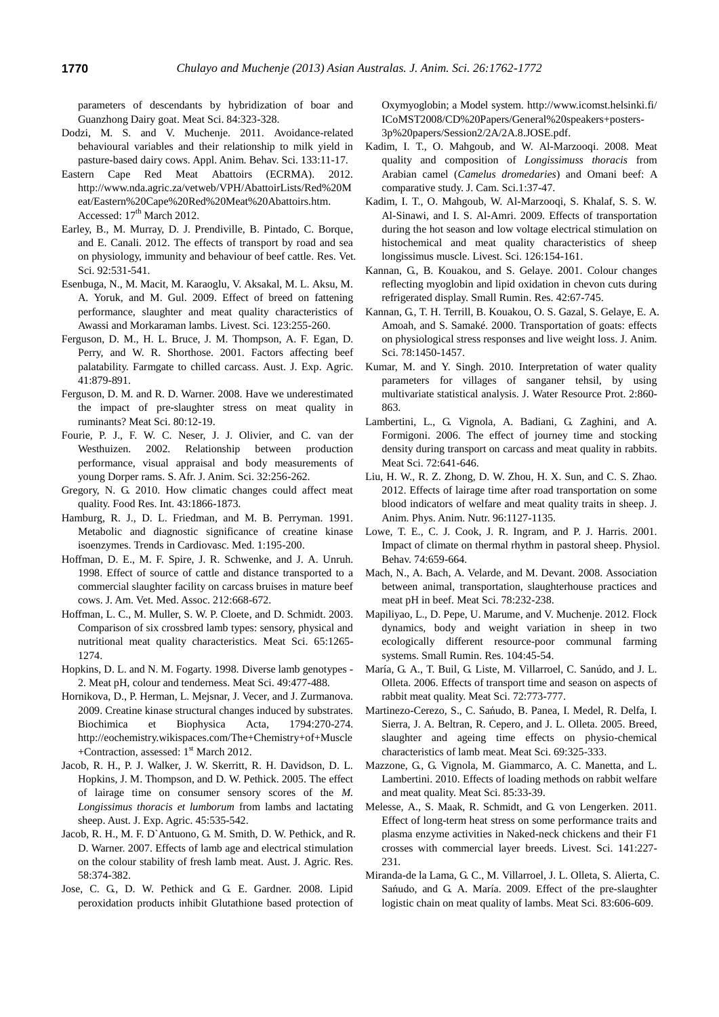parameters of descendants by hybridization of boar and Guanzhong Dairy goat. Meat Sci. 84:323-328.

- Dodzi, M. S. and V. Muchenje. 2011. [Avoidance-related](http://www.sciencedirect.com/science/article/pii/S0168159111001481)  [behavioural variables and their relationship to milk yield in](http://www.sciencedirect.com/science/article/pii/S0168159111001481)  [pasture-based dairy cows.](http://www.sciencedirect.com/science/article/pii/S0168159111001481) Appl. Anim. Behav. Sci. 133:11-17.
- Eastern Cape Red Meat Abattoirs (ECRMA). 2012. [http://www.nda.agric.za/vetweb/VPH/AbattoirLists/Red%20M](http://www.nda.agric.za/vetweb/VPH/AbattoirLists/Red%20Meat/Eastern%20Cape%20Red%20Meat%20Abattoirs.htm) [eat/Eastern%20Cape%20Red%20Meat%20Abattoirs.htm.](http://www.nda.agric.za/vetweb/VPH/AbattoirLists/Red%20Meat/Eastern%20Cape%20Red%20Meat%20Abattoirs.htm) Accessed:  $17<sup>th</sup>$  March 2012.
- Earley, B., M. Murray, D. J. Prendiville, B. Pintado, C. Borque, and E. Canali. 2012. [The effects of transport by road and sea](http://www.sciencedirect.com/science/article/pii/S0034528811001251)  [on physiology, immunity and behaviour of beef cattle.](http://www.sciencedirect.com/science/article/pii/S0034528811001251) Res. Vet. Sci. 92:531-541.
- Esenbuga, N., M. Macit, M. Karaoglu, V. Aksakal, M. L. Aksu, M. A. Yoruk, and M. Gul. 2009. [Effect of breed on fattening](http://www.sciencedirect.com/science/article/pii/S1871141308003739)  [performance, slaughter and meat quality characteristics of](http://www.sciencedirect.com/science/article/pii/S1871141308003739)  [Awassi and Morkaraman lambs.](http://www.sciencedirect.com/science/article/pii/S1871141308003739) Livest. Sci. 123:255-260.
- Ferguson, D. M., H. L. Bruce, J. M. Thompson, A. F. Egan, D. Perry, and W. R. Shorthose. 2001. [Factors affecting beef](http://www.publish.csiro.au/paper/EA00022)  [palatability. Farmgate to chilled carcass.](http://www.publish.csiro.au/paper/EA00022) Aust. J. Exp. Agric. 41:879-891.
- Ferguson, D. M. and R. D. Warner. 2008. [Have we underestimated](http://www.sciencedirect.com/science/article/pii/S0309174008001459)  [the impact of pre-slaughter stress on meat quality in](http://www.sciencedirect.com/science/article/pii/S0309174008001459)  [ruminants?](http://www.sciencedirect.com/science/article/pii/S0309174008001459) Meat Sci. 80:12-19.
- Fourie, P. J., F. W. C. Neser, J. J. Olivier, and C. van der Westhuizen. 2002. [Relationship between production](http://www.bybloswhitedorper.com/userfiles/File/dorper_body_heat_girth.pdf)  [performance, visual appraisal and body measurements of](http://www.bybloswhitedorper.com/userfiles/File/dorper_body_heat_girth.pdf)  [young Dorper rams.](http://www.bybloswhitedorper.com/userfiles/File/dorper_body_heat_girth.pdf) S. Afr. J. Anim. Sci. 32:256-262.
- Gregory, N. G. 2010. [How climatic changes could affect meat](http://www.sciencedirect.com/science/article/pii/S0963996909001707)  [quality.](http://www.sciencedirect.com/science/article/pii/S0963996909001707) Food Res. Int. 43:1866-1873.
- Hamburg, R. J., D. L. Friedman, and M. B. Perryman. 1991. [Metabolic and diagnostic significance of creatine kinase](http://www.sciencedirect.com/science/article/pii/105017389190037F)  [isoenzymes.](http://www.sciencedirect.com/science/article/pii/105017389190037F) Trends in Cardiovasc. Med. 1:195-200.
- Hoffman, D. E., M. F. Spire, J. R. Schwenke, and J. A. Unruh. 1998. [Effect of source of cattle and distance transported to a](http://www.ncbi.nlm.nih.gov/pubmed/9524638)  [commercial slaughter facility on carcass bruises in mature beef](http://www.ncbi.nlm.nih.gov/pubmed/9524638)  [cows.](http://www.ncbi.nlm.nih.gov/pubmed/9524638) J. Am. Vet. Med. Assoc. 212:668-672.
- Hoffman, L. C., M. Muller, S. W. P. Cloete, and D. Schmidt. 2003. [Comparison of six crossbred lamb types: sensory, physical and](http://www.sciencedirect.com/science/article/pii/S0309174003000342)  [nutritional meat quality characteristics.](http://www.sciencedirect.com/science/article/pii/S0309174003000342) Meat Sci. 65:1265- 1274.
- Hopkins, D. L. and N. M. Fogarty. 1998. [Diverse lamb genotypes -](http://www.sciencedirect.com/science/article/pii/S0309174098000515) [2. Meat pH, colour and tenderness.](http://www.sciencedirect.com/science/article/pii/S0309174098000515) Meat Sci. 49:477-488.
- Hornikova, D., P. Herman, L. Mejsnar, J. Vecer, and J. Zurmanova. 2009. [Creatine kinase structural changes induced by substrates](http://www.sciencedirect.com/science/article/pii/S1570963908003373)*.*  Biochimica et Biophysica Acta, 1794:270-274. [http://eochemistry.wikispaces.com/The+Chemistry+of+Muscle](http://eochemistry.wikispaces.com/The+Chemistry+of+Muscle+Contraction) [+Contraction,](http://eochemistry.wikispaces.com/The+Chemistry+of+Muscle+Contraction) assessed: 1<sup>st</sup> March 2012.
- Jacob, R. H., P. J. Walker, J. W. Skerritt, R. H. Davidson, D. L. Hopkins, J. M. Thompson, and D. W. Pethick. 2005. [The effect](http://www.publish.csiro.au/?paper=EA03215)  [of lairage time on consumer sensory scores of the](http://www.publish.csiro.au/?paper=EA03215) *M. [Longissimus thoracis et lumborum](http://www.publish.csiro.au/?paper=EA03215)* from lambs and lactating [sheep.](http://www.publish.csiro.au/?paper=EA03215) Aust. J. Exp. Agric. 45:535-542.
- Jacob, R. H., M. F. D`Antuono, G. M. Smith, D. W. Pethick, and R. D. Warner. 2007[. Effects of lamb age and electrical stimulation](http://www.publish.csiro.au/paper/AR06126)  [on the colour stability of fresh lamb meat.](http://www.publish.csiro.au/paper/AR06126) Aust. J. Agric. Res. 58:374-382.
- Jose, C. G., D. W. Pethick and G. E. Gardner. 2008. Lipid peroxidation products inhibit Glutathione based protection of

Oxymyoglobin; a Model system. [http://www.icomst.helsinki.fi/](http://www.icomst.helsinki.fi/%20ICoMST2008/CD%20Papers/General%20speakers+posters-3p%20papers/Session2/2A/2A.8.JOSE.pdf) [ICoMST2008/CD%20Papers/General%20speakers+posters-](http://www.icomst.helsinki.fi/%20ICoMST2008/CD%20Papers/General%20speakers+posters-3p%20papers/Session2/2A/2A.8.JOSE.pdf)[3p%20papers/Session2/2A/2A.8.JOSE.pdf.](http://www.icomst.helsinki.fi/%20ICoMST2008/CD%20Papers/General%20speakers+posters-3p%20papers/Session2/2A/2A.8.JOSE.pdf)

- Kadim, I. T., O. Mahgoub, and W. Al-Marzooqi. 2008. [Meat](http://w.isocard.org/e_Library/Journal_of_Camelid_Science/JCS_2008_Volume_01/06_Meat%20quality%20and%20composition.pdf)  [quality and composition of](http://w.isocard.org/e_Library/Journal_of_Camelid_Science/JCS_2008_Volume_01/06_Meat%20quality%20and%20composition.pdf) *Longissimuss thoracis* from Arabian camel (*Camelus dromedaries*[\) and Omani beef: A](http://w.isocard.org/e_Library/Journal_of_Camelid_Science/JCS_2008_Volume_01/06_Meat%20quality%20and%20composition.pdf)  [comparative study.](http://w.isocard.org/e_Library/Journal_of_Camelid_Science/JCS_2008_Volume_01/06_Meat%20quality%20and%20composition.pdf) J. Cam. Sci.1:37-47.
- Kadim, I. T., O. Mahgoub, W. Al-Marzooqi, S. Khalaf, S. S. W. Al-Sinawi, and I. S. Al-Amri. 2009. [Effects of transportation](http://www.sciencedirect.com/science/article/pii/S1871141309002406)  [during the hot season and low voltage electrical stimulation on](http://www.sciencedirect.com/science/article/pii/S1871141309002406)  [histochemical and meat quality characteristics of sheep](http://www.sciencedirect.com/science/article/pii/S1871141309002406)  [longissimus muscle.](http://www.sciencedirect.com/science/article/pii/S1871141309002406) Livest. Sci. 126:154-161.
- Kannan, G., B. Kouakou, and S. Gelaye. 200[1. Colour changes](http://www.sciencedirect.com/science/article/pii/S0921448801002322)  [reflecting myoglobin and lipid oxidation in chevon cuts during](http://www.sciencedirect.com/science/article/pii/S0921448801002322)  [refrigerated display.](http://www.sciencedirect.com/science/article/pii/S0921448801002322) Small Rumin. Res. 42:67-745.
- Kannan, G., T. H. Terrill, B. Kouakou, O. S. Gazal, S. Gelaye, E. A. Amoah, and S. Samaké. 2000. [Transportation of goats: effects](http://www.journalofanimalscience.org/content/78/6/1450.short)  [on physiological stress responses and live weight loss.](http://www.journalofanimalscience.org/content/78/6/1450.short) J. Anim. Sci. 78:1450-1457.
- Kumar, M. and Y. Singh. 2010. [Interpretation of water quality](http://scholar.google.co.kr/scholar?q=Interpretation+of+water+quality+parameters+for+villages+of+sanganer+tehsil%2C+by+using+multivariate+statistical+analysis&hl=ko&as_sdt=0%2C5)  [parameters for villages of sanganer tehsil, by using](http://scholar.google.co.kr/scholar?q=Interpretation+of+water+quality+parameters+for+villages+of+sanganer+tehsil%2C+by+using+multivariate+statistical+analysis&hl=ko&as_sdt=0%2C5)  [multivariate statistical analysis.](http://scholar.google.co.kr/scholar?q=Interpretation+of+water+quality+parameters+for+villages+of+sanganer+tehsil%2C+by+using+multivariate+statistical+analysis&hl=ko&as_sdt=0%2C5) J. Water Resource Prot. 2:860- 863.
- Lambertini, L., G. Vignola, A. Badiani, G. Zaghini, and A. Formigoni. 2006. [The effect of journey time and stocking](http://www.sciencedirect.com/science/article/pii/S0309174005003505)  [density during transport on carcass and meat quality in rabbits.](http://www.sciencedirect.com/science/article/pii/S0309174005003505) Meat Sci. 72:641-646.
- Liu, H. W., R. Z. Zhong, D. W. Zhou, H. X. Sun, and C. S. Zhao. 2012. [Effects of lairage time after road transportation on some](http://onlinelibrary.wiley.com/doi/10.1111/j.1439-0396.2011.01230.x/abstract;jsessionid=D344649FFFBE0A6790A8A771B502A659.d03t04?deniedAccessCustomisedMessage=&userIsAuthenticated=false)  [blood indicators of welfare and meat quality traits in sheep.](http://onlinelibrary.wiley.com/doi/10.1111/j.1439-0396.2011.01230.x/abstract;jsessionid=D344649FFFBE0A6790A8A771B502A659.d03t04?deniedAccessCustomisedMessage=&userIsAuthenticated=false) J. Anim. Phys. Anim. Nutr. 96:1127-1135*.*
- Lowe, T. E., C. J. Cook, J. R. Ingram, and P. J. Harris. 2001. [Impact of climate on thermal rhythm in pastoral sheep.](http://www.sciencedirect.com/science/article/pii/S0031938401006084) Physiol. Behav. 74:659-664.
- Mach, N., A. Bach, A. Velarde, and M. Devant. 2008. [Association](http://www.sciencedirect.com/science/article/pii/S0309174007002100)  [between animal, transportation, slaughterhouse practices and](http://www.sciencedirect.com/science/article/pii/S0309174007002100)  [meat pH in beef.](http://www.sciencedirect.com/science/article/pii/S0309174007002100) Meat Sci. 78:232-238.
- Mapiliyao, L., D. Pepe, U. Marume, and V. Muchenje. 2012. [Flock](http://www.sciencedirect.com/science/article/pii/S0921448811004457)  [dynamics, body and weight variation in sheep in two](http://www.sciencedirect.com/science/article/pii/S0921448811004457)  [ecologically different resource-poor communal farming](http://www.sciencedirect.com/science/article/pii/S0921448811004457)  [systems.](http://www.sciencedirect.com/science/article/pii/S0921448811004457) Small Rumin. Res. 104:45-54.
- María, G. A., T. Buil, G. Liste, M. Villarroel, C. Sanúdo, and J. L. Olleta. 2006[. Effects of transport time and season on aspects of](http://www.sciencedirect.com/science/article/pii/S0309174005003803)  [rabbit meat quality.](http://www.sciencedirect.com/science/article/pii/S0309174005003803) Meat Sci. 72:773-777.
- Martinezo-Cerezo, S., C. Sań u dBo Panea, I. Medel, R. Delfa, I. Sierra, J. A. Beltran, R. Cepero, and J. L. Olleta. 2005. [Breed,](http://www.sciencedirect.com/science/article/pii/S0309174004002098)  [slaughter and ageing time effects on physio-chemical](http://www.sciencedirect.com/science/article/pii/S0309174004002098)  [characteristics of lamb meat.](http://www.sciencedirect.com/science/article/pii/S0309174004002098) Meat Sci. 69:325-333.
- Mazzone, G., G. Vignola, M. Giammarco, A. C. Manetta, and L. Lambertini. 2010[. Effects of loading methods on rabbit welfare](http://www.sciencedirect.com/science/article/pii/S0309174009003805)  [and meat quality.](http://www.sciencedirect.com/science/article/pii/S0309174009003805) Meat Sci. 85:33-39.
- Melesse, A., S. Maak, R. Schmidt, and G. von Lengerken. 2011. [Effect of long-term heat stress on some performance traits and](http://www.sciencedirect.com/science/article/pii/S1871141311002137)  [plasma enzyme activities in Naked-neck chickens and their F1](http://www.sciencedirect.com/science/article/pii/S1871141311002137)  [crosses with commercial layer breeds.](http://www.sciencedirect.com/science/article/pii/S1871141311002137) Livest. Sci. 141:227- 231*.*
- Miranda-de la Lama, G. C., M. Villarroel, J. L. Olleta, S. Alierta, C. S a ń u addo G. A. María. 2009. Effect of the pre-slaughter [logistic chain on meat quality of lambs.](http://www.sciencedirect.com/science/article/pii/S0309174009002149) Meat Sci. 83:606-609.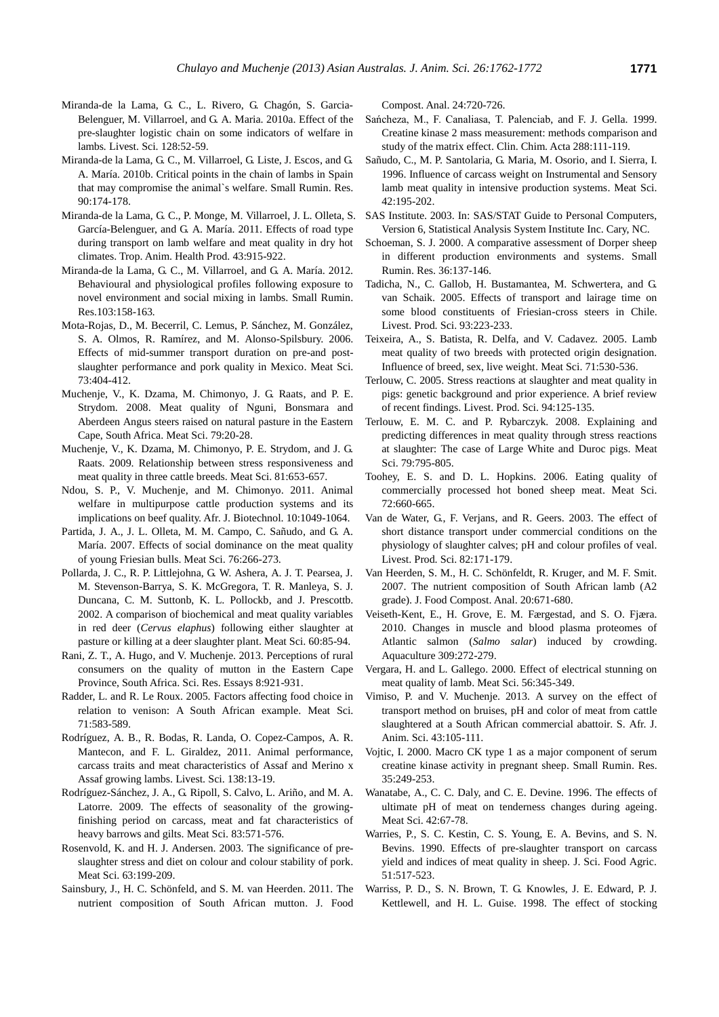- Miranda-de la Lama, G. C., L. Rivero, G. Chagón, S. Garcia-Belenguer, M. Villarroel, and G. A. Maria. 2010a[. Effect of the](http://www.sciencedirect.com/science/article/pii/S1871141309003448)  [pre-slaughter logistic chain on some indicators of welfare in](http://www.sciencedirect.com/science/article/pii/S1871141309003448)  [lambs](http://www.sciencedirect.com/science/article/pii/S1871141309003448)*.* Livest. Sci. 128:52-59.
- Miranda-de la Lama, G. C., M. Villarroel, G. Liste, J. Escos, and G. A. María. 2010b. [Critical points in the chain of lambs in Spain](http://www.sciencedirect.com/science/article/pii/S0921448810000611)  [that may compromise the animal`s welfare.](http://www.sciencedirect.com/science/article/pii/S0921448810000611) Small Rumin. Res. 90:174-178.
- Miranda-de la Lama, G. C., P. Monge, M. Villarroel, J. L. Olleta, S. García-Belenguer, and G. A. María. 2011. [Effects of road type](http://link.springer.com/article/10.1007/s11250-011-9783-7)  [during transport on lamb welfare and meat quality in dry hot](http://link.springer.com/article/10.1007/s11250-011-9783-7)  [climates.](http://link.springer.com/article/10.1007/s11250-011-9783-7) Trop. Anim. Health Prod. 43:915-922.
- Miranda-de la Lama, G. C., M. Villarroel, and G. A. María. 2012. [Behavioural and physiological profiles following exposure to](http://www.sciencedirect.com/science/article/pii/S0921448811003026)  [novel environment and social mixing in lambs.](http://www.sciencedirect.com/science/article/pii/S0921448811003026) Small Rumin. Res.103:158-163*.*
- Mota-Rojas, D., M. Becerril, C. Lemus, P. Sánchez, M. González, S. A. Olmos, R. Ramírez, and M. Alonso-Spilsbury. 2006. [Effects of mid-summer transport duration on pre-and post](http://www.sciencedirect.com/science/article/pii/S0309174005004183)[slaughter performance and pork quality in Mexico.](http://www.sciencedirect.com/science/article/pii/S0309174005004183) Meat Sci. 73:404-412.
- Muchenje, V., K. Dzama, M. Chimonyo, J. G. Raats, and P. E. Strydom. 2008. [Meat quality of Nguni, Bonsmara and](http://www.sciencedirect.com/science/article/pii/S0309174007002598)  [Aberdeen Angus steers raised on natural pasture in the Eastern](http://www.sciencedirect.com/science/article/pii/S0309174007002598)  [Cape, South Africa.](http://www.sciencedirect.com/science/article/pii/S0309174007002598) Meat Sci. 79:20-28.
- Muchenje, V., K. Dzama, M. Chimonyo, P. E. Strydom, and J. G. Raats. 2009. [Relationship between stress responsiveness and](http://www.sciencedirect.com/science/article/pii/S0309174008003677)  [meat quality in three cattle breeds.](http://www.sciencedirect.com/science/article/pii/S0309174008003677) Meat Sci. 81:653-657.
- Ndou, S. P., V. Muchenje, and M. Chimonyo. 2011. Animal welfare in multipurpose cattle production systems and its implications on beef quality. Afr. J. Biotechnol. 10:1049-1064.
- Partida, J. A., J. L. Olleta, M. M. Campo, C. Sañudo, and G. A. María. 2007. [Effects of social dominance on the meat quality](http://www.sciencedirect.com/science/article/pii/S0309174006003780)  [of young Friesian bulls.](http://www.sciencedirect.com/science/article/pii/S0309174006003780) Meat Sci. 76:266-273.
- Pollarda, J. C., R. P. Littlejohna, G. W. Ashera, A. J. T. Pearsea, J. M. Stevenson-Barrya, S. K. McGregora, T. R. Manleya, S. J. Duncana, C. M. Suttonb, K. L. Pollockb, and J. Prescottb. 2002. [A comparison of biochemical and meat quality variables](http://www.sciencedirect.com/science/article/pii/S0309174001001103)  in red deer (*Cervus elaphus*[\) following either slaughter at](http://www.sciencedirect.com/science/article/pii/S0309174001001103)  [pasture or killing at a deer slaughter plant.](http://www.sciencedirect.com/science/article/pii/S0309174001001103) Meat Sci. 60:85-94.
- Rani, Z. T., A. Hugo, and V. Muchenje. 2013. [Perceptions of rural](http://www.academicjournals.org/sre/PDF/pdf2013/4Jun/Rani%20et%20al.pdf)  [consumers on the quality of mutton in the Eastern Cape](http://www.academicjournals.org/sre/PDF/pdf2013/4Jun/Rani%20et%20al.pdf)  [Province, South Africa.](http://www.academicjournals.org/sre/PDF/pdf2013/4Jun/Rani%20et%20al.pdf) Sci. Res. Essays 8:921-931.
- Radder, L. and R. Le Roux. 2005. [Factors affecting food choice in](http://www.sciencedirect.com/science/article/pii/S0309174005001920)  [relation to venison: A South African example.](http://www.sciencedirect.com/science/article/pii/S0309174005001920) Meat Sci. 71:583-589.
- Rodríguez, A. B., R. Bodas, R. Landa, O. Copez-Campos, A. R. Mantecon, and F. L. Giraldez, 2011. [Animal performance,](http://www.sciencedirect.com/science/article/pii/S1871141310005834)  [carcass traits and meat characteristics of Assaf and Merino x](http://www.sciencedirect.com/science/article/pii/S1871141310005834)  [Assaf growing lambs.](http://www.sciencedirect.com/science/article/pii/S1871141310005834) Livest. Sci. 138:13-19.
- Rodríguez-Sánchez, J. A., G. Ripoll, S. Calvo, L. Ariño, and M. A. Latorre. 2009. [The effects of seasonality of the growing](http://www.sciencedirect.com/science/article/pii/S0309174009002101)[finishing period on carcass, meat and fat characteristics of](http://www.sciencedirect.com/science/article/pii/S0309174009002101)  [heavy barrows and gilts.](http://www.sciencedirect.com/science/article/pii/S0309174009002101) Meat Sci. 83:571-576.
- Rosenvold, K. and H. J. Andersen. 2003. [The significance of pre](http://www.sciencedirect.com/science/article/pii/S0309174002000712)[slaughter stress and diet on colour and colour stability of pork.](http://www.sciencedirect.com/science/article/pii/S0309174002000712)  Meat Sci. 63:199-209.
- Sainsbury, J., H. C. Schönfeld, and S. M. van Heerden. 2011. [The](http://www.sciencedirect.com/science/article/pii/S0889157511000196)  [nutrient composition of South African mutton.](http://www.sciencedirect.com/science/article/pii/S0889157511000196) J. Food

Compost. Anal. 24:720-726.

- $S$  a  $n$  c  $h$  e  $z$  a  $,$   $M.$   $,$   $F.$   $,$   $G$  and  $rF.$  al. 1Gella.  $s1999$ . T. P [Creatine kinase 2 mass measurement: methods comparison and](http://www.sciencedirect.com/science/article/pii/S0009898199001497)  [study of the matrix effect.](http://www.sciencedirect.com/science/article/pii/S0009898199001497) Clin. Chim. Acta 288:111-119.
- Sañudo, C., M. P. Santolaria, G. Maria, M. Osorio, and I. Sierra, I. 1996. [Influence of carcass weight on Instrumental and Sensory](http://www.sciencedirect.com/science/article/pii/0309174095000267)  [lamb meat quality in intensive production systems.](http://www.sciencedirect.com/science/article/pii/0309174095000267) Meat Sci. 42:195-202.
- SAS Institute. 2003. In: SAS/STAT Guide to Personal Computers, Version 6, Statistical Analysis System Institute Inc. Cary, NC.
- Schoeman, S. J. 2000[. A comparative assessment of Dorper sheep](http://www.sciencedirect.com/science/article/pii/S0921448899001571)  [in different production environments and systems.](http://www.sciencedirect.com/science/article/pii/S0921448899001571) Small Rumin. Res. 36:137-146.
- Tadicha, N., C. Gallob, H. Bustamantea, M. Schwertera, and G. van Schaik. 2005. [Effects of transport and lairage time on](http://www.sciencedirect.com/science/article/pii/S0301622604002398)  [some blood constituents of Friesian-cross steers in Chile.](http://www.sciencedirect.com/science/article/pii/S0301622604002398) Livest. Prod. Sci. 93:223-233.
- Teixeira, A., S. Batista, R. Delfa, and V. Cadavez. 2005. [Lamb](http://www.sciencedirect.com/science/article/pii/S0309174005001841)  [meat quality of two breeds with protected origin designation.](http://www.sciencedirect.com/science/article/pii/S0309174005001841)  [Influence of breed, sex, live weight.](http://www.sciencedirect.com/science/article/pii/S0309174005001841) Meat Sci. 71:530-536.
- Terlouw, C. 2005. [Stress reactions at slaughter and meat quality in](http://www.sciencedirect.com/science/article/pii/S030162260400274X)  [pigs: genetic background and prior experience. A brief review](http://www.sciencedirect.com/science/article/pii/S030162260400274X)  [of recent findings.](http://www.sciencedirect.com/science/article/pii/S030162260400274X) Livest. Prod. Sci. 94:125-135.
- Terlouw, E. M. C. and P. Rybarczyk. 2008. [Explaining and](http://www.sciencedirect.com/science/article/pii/S0309174007003841)  [predicting differences in meat quality through stress reactions](http://www.sciencedirect.com/science/article/pii/S0309174007003841)  [at slaughter: The case of Large White and Duroc pigs.](http://www.sciencedirect.com/science/article/pii/S0309174007003841) Meat Sci. 79:795-805.
- Toohey, E. S. and D. L. Hopkins. 2006. [Eating quality of](http://www.sciencedirect.com/science/article/pii/S0309174005003530)  [commercially processed hot boned sheep meat.](http://www.sciencedirect.com/science/article/pii/S0309174005003530) Meat Sci. 72:660-665.
- Van de Water, G., F. Verjans, and R. Geers. 2003. [The effect of](http://www.sciencedirect.com/science/article/pii/S0301622603000101)  [short distance transport under commercial conditions on the](http://www.sciencedirect.com/science/article/pii/S0301622603000101)  [physiology of slaughter calves; pH and colour profiles of veal.](http://www.sciencedirect.com/science/article/pii/S0301622603000101) Livest. Prod. Sci. 82:171-179.
- Van Heerden, S. M., H. C. Schönfeldt, R. Kruger, and M. F. Smit. 2007. [The nutrient composition of South African lamb \(A2](http://www.sciencedirect.com/science/article/pii/S0889157507000233)  [grade\).](http://www.sciencedirect.com/science/article/pii/S0889157507000233) J. Food Compost. Anal. 20:671-680.
- Veiseth-Kent, E., H. Grove, E. M. Fæ rgestad, and S. O. Fjæ ra. 2010. [Changes in muscle and blood plasma proteomes of](http://www.sciencedirect.com/science/article/pii/S0044848610006587)  Atlantic salmon (*Salmo salar*[\) induced by crowding.](http://www.sciencedirect.com/science/article/pii/S0044848610006587) Aquaculture 309:272-279.
- Vergara, H. and L. Gallego. 2000. [Effect of electrical stunning on](http://www.sciencedirect.com/science/article/pii/S0309174000000619)  [meat quality of lamb.](http://www.sciencedirect.com/science/article/pii/S0309174000000619) Meat Sci. 56:345-349.
- Vimiso, P. and V. Muchenje. 2013. [A survey on the effect of](http://www.ajol.info/index.php/sajas/article/view/87800)  [transport method on bruises, pH](http://www.ajol.info/index.php/sajas/article/view/87800) and color of meat from cattle [slaughtered at a South African commercial abattoir.](http://www.ajol.info/index.php/sajas/article/view/87800) S. Afr. J. Anim. Sci. 43:105-111.
- Vojtic, I. 2000. [Macro CK type 1 as a major component of serum](http://www.sciencedirect.com/science/article/pii/S0921448899000930)  [creatine kinase activity in pregnant sheep.](http://www.sciencedirect.com/science/article/pii/S0921448899000930) Small Rumin. Res. 35:249-253.
- Wanatabe, A., C. C. Daly, and C. E. Devine. 1996. [The effects of](http://www.sciencedirect.com/science/article/pii/0309174095000127)  [ultimate pH of meat on tenderness changes during ageing.](http://www.sciencedirect.com/science/article/pii/0309174095000127) Meat Sci. 42:67-78.
- Warries, P., S. C. Kestin, C. S. Young, E. A. Bevins, and S. N. Bevins. 1990. Effects of pre-slaughter transport on carcass yield and indices of meat quality in sheep. J. Sci. Food Agric. 51:517-523.
- Warriss, P. D., S. N. Brown, T. G. Knowles, J. E. Edward, P. J. Kettlewell, and H. L. Guise. 1998. [The effect of stocking](http://www.sciencedirect.com/science/article/pii/S0309174098000576)